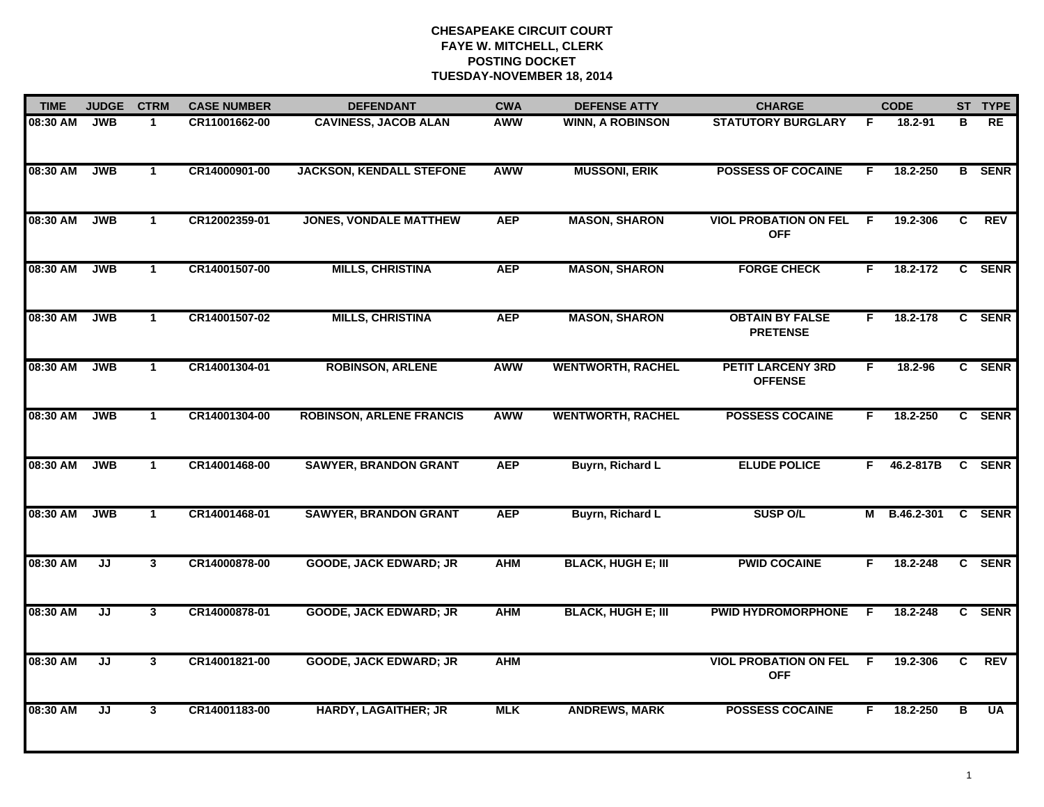| <b>TIME</b> | <b>JUDGE</b> | <b>CTRM</b>  | <b>CASE NUMBER</b> | <b>DEFENDANT</b>                | <b>CWA</b> | <b>DEFENSE ATTY</b>       | <b>CHARGE</b>                              |    | <b>CODE</b>       |   | ST TYPE       |
|-------------|--------------|--------------|--------------------|---------------------------------|------------|---------------------------|--------------------------------------------|----|-------------------|---|---------------|
| 08:30 AM    | <b>JWB</b>   | $\mathbf 1$  | CR11001662-00      | <b>CAVINESS, JACOB ALAN</b>     | <b>AWW</b> | <b>WINN, A ROBINSON</b>   | <b>STATUTORY BURGLARY</b>                  | F  | 18.2-91           | в | RE            |
| 08:30 AM    | <b>JWB</b>   | $\mathbf{1}$ | CR14000901-00      | <b>JACKSON, KENDALL STEFONE</b> | <b>AWW</b> | <b>MUSSONI, ERIK</b>      | <b>POSSESS OF COCAINE</b>                  | F. | 18.2-250          |   | <b>B</b> SENR |
| 08:30 AM    | <b>JWB</b>   | $\mathbf{1}$ | CR12002359-01      | <b>JONES, VONDALE MATTHEW</b>   | <b>AEP</b> | <b>MASON, SHARON</b>      | <b>VIOL PROBATION ON FEL</b><br><b>OFF</b> | F  | 19.2-306          | C | <b>REV</b>    |
| 08:30 AM    | <b>JWB</b>   | $\mathbf{1}$ | CR14001507-00      | <b>MILLS, CHRISTINA</b>         | <b>AEP</b> | <b>MASON, SHARON</b>      | <b>FORGE CHECK</b>                         | F. | 18.2-172          |   | C SENR        |
| 08:30 AM    | <b>JWB</b>   | $\mathbf 1$  | CR14001507-02      | <b>MILLS, CHRISTINA</b>         | <b>AEP</b> | <b>MASON, SHARON</b>      | <b>OBTAIN BY FALSE</b><br><b>PRETENSE</b>  | F. | 18.2-178          |   | C SENR        |
| 08:30 AM    | <b>JWB</b>   | $\mathbf{1}$ | CR14001304-01      | <b>ROBINSON, ARLENE</b>         | <b>AWW</b> | <b>WENTWORTH, RACHEL</b>  | <b>PETIT LARCENY 3RD</b><br><b>OFFENSE</b> | F. | 18.2-96           |   | C SENR        |
| 08:30 AM    | <b>JWB</b>   | $\mathbf{1}$ | CR14001304-00      | <b>ROBINSON, ARLENE FRANCIS</b> | <b>AWW</b> | <b>WENTWORTH, RACHEL</b>  | <b>POSSESS COCAINE</b>                     | F  | 18.2-250          | C | <b>SENR</b>   |
| 08:30 AM    | <b>JWB</b>   | $\mathbf{1}$ | CR14001468-00      | <b>SAWYER, BRANDON GRANT</b>    | <b>AEP</b> | <b>Buyrn, Richard L</b>   | <b>ELUDE POLICE</b>                        | F. | 46.2-817B         |   | C SENR        |
| 08:30 AM    | <b>JWB</b>   | $\mathbf 1$  | CR14001468-01      | <b>SAWYER, BRANDON GRANT</b>    | <b>AEP</b> | <b>Buyrn, Richard L</b>   | <b>SUSP O/L</b>                            | М  | <b>B.46.2-301</b> |   | C SENR        |
| 08:30 AM    | JJ           | $\mathbf{3}$ | CR14000878-00      | <b>GOODE, JACK EDWARD; JR</b>   | <b>AHM</b> | <b>BLACK, HUGH E; III</b> | <b>PWID COCAINE</b>                        | F  | 18.2-248          |   | C SENR        |
| 08:30 AM    | JJ           | 3            | CR14000878-01      | <b>GOODE, JACK EDWARD; JR</b>   | <b>AHM</b> | <b>BLACK, HUGH E; III</b> | <b>PWID HYDROMORPHONE</b>                  | -F | 18.2-248          |   | C SENR        |
| 08:30 AM    | JJ           | 3            | CR14001821-00      | <b>GOODE, JACK EDWARD; JR</b>   | <b>AHM</b> |                           | <b>VIOL PROBATION ON FEL</b><br><b>OFF</b> | F  | 19.2-306          | C | <b>REV</b>    |
| 08:30 AM    | JJ           | 3            | CR14001183-00      | <b>HARDY, LAGAITHER; JR</b>     | <b>MLK</b> | <b>ANDREWS, MARK</b>      | <b>POSSESS COCAINE</b>                     | F  | 18.2-250          | в | <b>UA</b>     |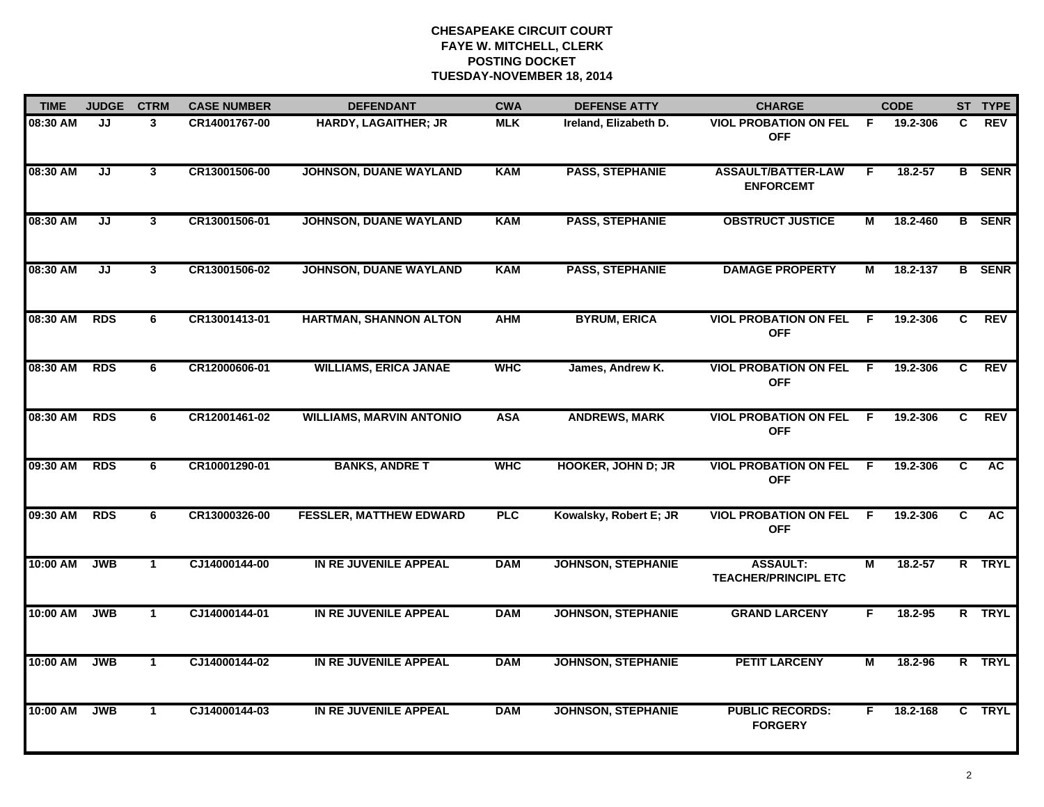| <b>TIME</b> | <b>JUDGE</b> | <b>CTRM</b>  | <b>CASE NUMBER</b> | <b>DEFENDANT</b>                | <b>CWA</b> | <b>DEFENSE ATTY</b>       | <b>CHARGE</b>                                  |                | <b>CODE</b> |                | ST TYPE       |
|-------------|--------------|--------------|--------------------|---------------------------------|------------|---------------------------|------------------------------------------------|----------------|-------------|----------------|---------------|
| 08:30 AM    | JJ           | 3            | CR14001767-00      | <b>HARDY, LAGAITHER; JR</b>     | <b>MLK</b> | Ireland, Elizabeth D.     | <b>VIOL PROBATION ON FEL</b><br><b>OFF</b>     | -F.            | 19.2-306    | C.             | <b>REV</b>    |
| 08:30 AM    | JJ           | 3            | CR13001506-00      | JOHNSON, DUANE WAYLAND          | <b>KAM</b> | <b>PASS, STEPHANIE</b>    | <b>ASSAULT/BATTER-LAW</b><br><b>ENFORCEMT</b>  | F.             | $18.2 - 57$ |                | <b>B</b> SENR |
| 08:30 AM    | JJ           | $\mathbf{3}$ | CR13001506-01      | <b>JOHNSON, DUANE WAYLAND</b>   | <b>KAM</b> | <b>PASS, STEPHANIE</b>    | <b>OBSTRUCT JUSTICE</b>                        | М              | 18.2-460    |                | <b>B</b> SENR |
| 08:30 AM    | JJ           | 3            | CR13001506-02      | JOHNSON, DUANE WAYLAND          | <b>KAM</b> | <b>PASS, STEPHANIE</b>    | <b>DAMAGE PROPERTY</b>                         | М              | 18.2-137    |                | <b>B</b> SENR |
| 08:30 AM    | <b>RDS</b>   | 6            | CR13001413-01      | HARTMAN, SHANNON ALTON          | <b>AHM</b> | <b>BYRUM, ERICA</b>       | <b>VIOL PROBATION ON FEL</b><br><b>OFF</b>     | E              | 19.2-306    | C              | <b>REV</b>    |
| 08:30 AM    | <b>RDS</b>   | 6            | CR12000606-01      | <b>WILLIAMS, ERICA JANAE</b>    | <b>WHC</b> | James, Andrew K.          | <b>VIOL PROBATION ON FEL</b><br><b>OFF</b>     | F.             | 19.2-306    | C.             | <b>REV</b>    |
| 08:30 AM    | <b>RDS</b>   | 6            | CR12001461-02      | <b>WILLIAMS, MARVIN ANTONIO</b> | <b>ASA</b> | <b>ANDREWS, MARK</b>      | <b>VIOL PROBATION ON FEL</b><br><b>OFF</b>     | $\overline{F}$ | 19.2-306    | $\overline{c}$ | <b>REV</b>    |
| 09:30 AM    | <b>RDS</b>   | 6            | CR10001290-01      | <b>BANKS, ANDRE T</b>           | <b>WHC</b> | <b>HOOKER, JOHN D; JR</b> | <b>VIOL PROBATION ON FEL</b><br><b>OFF</b>     | F.             | 19.2-306    | C              | <b>AC</b>     |
| 09:30 AM    | <b>RDS</b>   | 6            | CR13000326-00      | <b>FESSLER, MATTHEW EDWARD</b>  | PLC        | Kowalsky, Robert E; JR    | <b>VIOL PROBATION ON FEL</b><br><b>OFF</b>     | E              | 19.2-306    | C              | <b>AC</b>     |
| 10:00 AM    | <b>JWB</b>   | $\mathbf 1$  | CJ14000144-00      | IN RE JUVENILE APPEAL           | <b>DAM</b> | <b>JOHNSON, STEPHANIE</b> | <b>ASSAULT:</b><br><b>TEACHER/PRINCIPL ETC</b> | М              | 18.2-57     |                | R TRYL        |
| 10:00 AM    | <b>JWB</b>   | $\mathbf 1$  | CJ14000144-01      | IN RE JUVENILE APPEAL           | <b>DAM</b> | <b>JOHNSON, STEPHANIE</b> | <b>GRAND LARCENY</b>                           | F.             | 18.2-95     |                | R TRYL        |
| 10:00 AM    | <b>JWB</b>   | $\mathbf{1}$ | CJ14000144-02      | IN RE JUVENILE APPEAL           | <b>DAM</b> | <b>JOHNSON, STEPHANIE</b> | <b>PETIT LARCENY</b>                           | $\overline{M}$ | 18.2-96     |                | R TRYL        |
| 10:00 AM    | <b>JWB</b>   | $\mathbf 1$  | CJ14000144-03      | IN RE JUVENILE APPEAL           | <b>DAM</b> | <b>JOHNSON, STEPHANIE</b> | <b>PUBLIC RECORDS:</b><br><b>FORGERY</b>       | F.             | 18.2-168    |                | C TRYL        |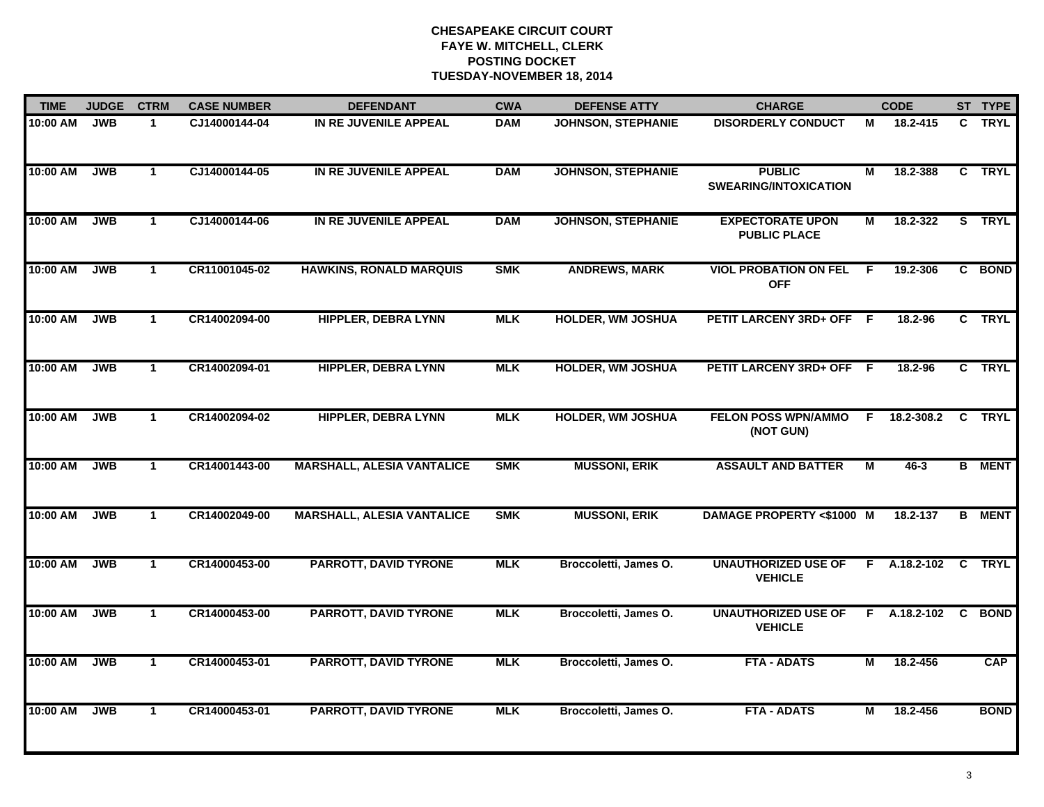| <b>TIME</b> | <b>JUDGE</b> | <b>CTRM</b>  | <b>CASE NUMBER</b> | <b>DEFENDANT</b>                  | <b>CWA</b> | <b>DEFENSE ATTY</b>       | <b>CHARGE</b>                                  |     | <b>CODE</b>    |    | ST TYPE       |
|-------------|--------------|--------------|--------------------|-----------------------------------|------------|---------------------------|------------------------------------------------|-----|----------------|----|---------------|
| 10:00 AM    | <b>JWB</b>   | 1            | CJ14000144-04      | IN RE JUVENILE APPEAL             | <b>DAM</b> | <b>JOHNSON, STEPHANIE</b> | <b>DISORDERLY CONDUCT</b>                      | М   | 18.2-415       |    | C TRYL        |
| 10:00 AM    | <b>JWB</b>   | $\mathbf{1}$ | CJ14000144-05      | IN RE JUVENILE APPEAL             | <b>DAM</b> | <b>JOHNSON, STEPHANIE</b> | <b>PUBLIC</b><br><b>SWEARING/INTOXICATION</b>  | М   | 18.2-388       |    | C TRYL        |
| 10:00 AM    | <b>JWB</b>   | $\mathbf{1}$ | CJ14000144-06      | IN RE JUVENILE APPEAL             | <b>DAM</b> | <b>JOHNSON, STEPHANIE</b> | <b>EXPECTORATE UPON</b><br><b>PUBLIC PLACE</b> | М   | 18.2-322       |    | S TRYL        |
| 10:00 AM    | <b>JWB</b>   | $\mathbf{1}$ | CR11001045-02      | <b>HAWKINS, RONALD MARQUIS</b>    | <b>SMK</b> | <b>ANDREWS, MARK</b>      | <b>VIOL PROBATION ON FEL</b><br><b>OFF</b>     | F.  | 19.2-306       |    | C BOND        |
| 10:00 AM    | <b>JWB</b>   | $\mathbf{1}$ | CR14002094-00      | <b>HIPPLER, DEBRA LYNN</b>        | <b>MLK</b> | <b>HOLDER, WM JOSHUA</b>  | <b>PETIT LARCENY 3RD+ OFF</b>                  | - F | 18.2-96        |    | C TRYL        |
| 10:00 AM    | <b>JWB</b>   | $\mathbf{1}$ | CR14002094-01      | <b>HIPPLER, DEBRA LYNN</b>        | <b>MLK</b> | <b>HOLDER, WM JOSHUA</b>  | PETIT LARCENY 3RD+ OFF F                       |     | 18.2-96        |    | C TRYL        |
| 10:00 AM    | <b>JWB</b>   | $\mathbf{1}$ | CR14002094-02      | <b>HIPPLER, DEBRA LYNN</b>        | <b>MLK</b> | <b>HOLDER, WM JOSHUA</b>  | <b>FELON POSS WPN/AMMO</b><br>(NOT GUN)        | F.  | 18.2-308.2     |    | C TRYL        |
| 10:00 AM    | <b>JWB</b>   | $\mathbf{1}$ | CR14001443-00      | <b>MARSHALL, ALESIA VANTALICE</b> | <b>SMK</b> | <b>MUSSONI, ERIK</b>      | <b>ASSAULT AND BATTER</b>                      | М   | $46 - 3$       |    | <b>B</b> MENT |
| 10:00 AM    | <b>JWB</b>   | $\mathbf 1$  | CR14002049-00      | <b>MARSHALL, ALESIA VANTALICE</b> | <b>SMK</b> | <b>MUSSONI, ERIK</b>      | <b>DAMAGE PROPERTY &lt;\$1000 M</b>            |     | 18.2-137       |    | <b>B</b> MENT |
| 10:00 AM    | <b>JWB</b>   | $\mathbf{1}$ | CR14000453-00      | <b>PARROTT, DAVID TYRONE</b>      | <b>MLK</b> | Broccoletti, James O.     | <b>UNAUTHORIZED USE OF</b><br><b>VEHICLE</b>   |     | $F$ A.18.2-102 | C. | <b>TRYL</b>   |
| 10:00 AM    | <b>JWB</b>   | $\mathbf{1}$ | CR14000453-00      | <b>PARROTT, DAVID TYRONE</b>      | <b>MLK</b> | Broccoletti, James O.     | <b>UNAUTHORIZED USE OF</b><br><b>VEHICLE</b>   |     | $F$ A.18.2-102 |    | C BOND        |
| 10:00 AM    | <b>JWB</b>   | $\mathbf{1}$ | CR14000453-01      | <b>PARROTT, DAVID TYRONE</b>      | <b>MLK</b> | Broccoletti, James O.     | <b>FTA - ADATS</b>                             | М   | 18.2-456       |    | CAP           |
| 10:00 AM    | <b>JWB</b>   | $\mathbf{1}$ | CR14000453-01      | <b>PARROTT, DAVID TYRONE</b>      | <b>MLK</b> | Broccoletti, James O.     | <b>FTA - ADATS</b>                             | М   | 18.2-456       |    | <b>BOND</b>   |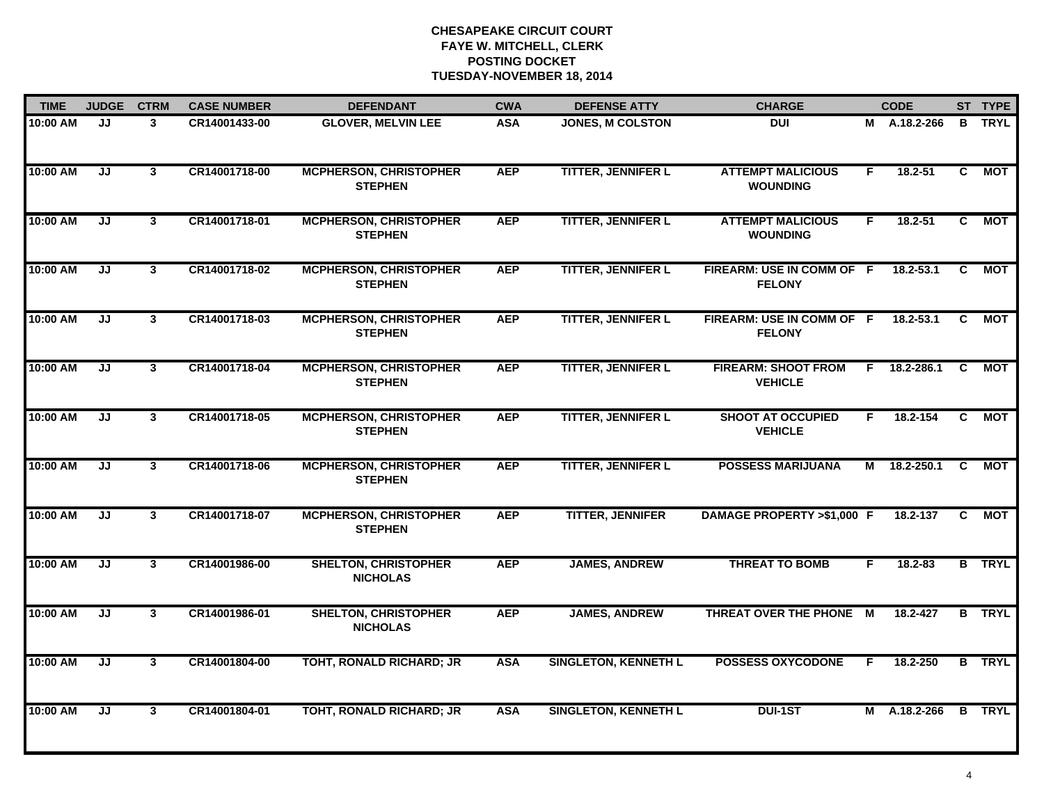| <b>TIME</b> | <b>JUDGE</b>                      | <b>CTRM</b>             | <b>CASE NUMBER</b> | <b>DEFENDANT</b>                                | <b>CWA</b> | <b>DEFENSE ATTY</b>         | <b>CHARGE</b>                                |    | <b>CODE</b>  |                | ST TYPE       |
|-------------|-----------------------------------|-------------------------|--------------------|-------------------------------------------------|------------|-----------------------------|----------------------------------------------|----|--------------|----------------|---------------|
| 10:00 AM    | JJ                                | $\mathbf{3}$            | CR14001433-00      | <b>GLOVER, MELVIN LEE</b>                       | <b>ASA</b> | <b>JONES, M COLSTON</b>     | DUI                                          |    | M A.18.2-266 |                | <b>B</b> TRYL |
| 10:00 AM    | JJ                                | $3^{\circ}$             | CR14001718-00      | <b>MCPHERSON, CHRISTOPHER</b><br><b>STEPHEN</b> | <b>AEP</b> | <b>TITTER, JENNIFER L</b>   | <b>ATTEMPT MALICIOUS</b><br><b>WOUNDING</b>  | F. | $18.2 - 51$  | C.             | <b>MOT</b>    |
| 10:00 AM    | JJ                                | $\overline{\mathbf{3}}$ | CR14001718-01      | <b>MCPHERSON, CHRISTOPHER</b><br><b>STEPHEN</b> | <b>AEP</b> | <b>TITTER, JENNIFER L</b>   | <b>ATTEMPT MALICIOUS</b><br><b>WOUNDING</b>  | F. | $18.2 - 51$  | C              | <b>MOT</b>    |
| 10:00 AM    | JJ                                | $\mathbf{3}$            | CR14001718-02      | <b>MCPHERSON, CHRISTOPHER</b><br><b>STEPHEN</b> | <b>AEP</b> | <b>TITTER, JENNIFER L</b>   | FIREARM: USE IN COMM OF F<br><b>FELONY</b>   |    | 18.2-53.1    | C.             | МОТ           |
| 10:00 AM    | JJ                                | $\mathbf{3}$            | CR14001718-03      | <b>MCPHERSON, CHRISTOPHER</b><br><b>STEPHEN</b> | <b>AEP</b> | <b>TITTER, JENNIFER L</b>   | FIREARM: USE IN COMM OF F<br><b>FELONY</b>   |    | 18.2-53.1    | C.             | МОТ           |
| 10:00 AM    | JJ                                | $\mathbf{3}$            | CR14001718-04      | <b>MCPHERSON, CHRISTOPHER</b><br><b>STEPHEN</b> | <b>AEP</b> | <b>TITTER, JENNIFER L</b>   | <b>FIREARM: SHOOT FROM</b><br><b>VEHICLE</b> | F. | 18.2-286.1   | C              | MOT           |
| 10:00 AM    | JJ                                | 3                       | CR14001718-05      | <b>MCPHERSON, CHRISTOPHER</b><br><b>STEPHEN</b> | <b>AEP</b> | <b>TITTER, JENNIFER L</b>   | <b>SHOOT AT OCCUPIED</b><br><b>VEHICLE</b>   | F. | 18.2-154     | $\overline{c}$ | <b>MOT</b>    |
| 10:00 AM    | JJ                                | $\overline{\mathbf{3}}$ | CR14001718-06      | <b>MCPHERSON, CHRISTOPHER</b><br><b>STEPHEN</b> | <b>AEP</b> | <b>TITTER, JENNIFER L</b>   | <b>POSSESS MARIJUANA</b>                     | м  | 18.2-250.1   | C.             | <b>MOT</b>    |
| 10:00 AM    | JJ                                | 3                       | CR14001718-07      | <b>MCPHERSON, CHRISTOPHER</b><br><b>STEPHEN</b> | <b>AEP</b> | <b>TITTER, JENNIFER</b>     | DAMAGE PROPERTY >\$1,000 F                   |    | 18.2-137     | C.             | <b>MOT</b>    |
| 10:00 AM    | JJ                                | $\mathbf{3}$            | CR14001986-00      | <b>SHELTON, CHRISTOPHER</b><br><b>NICHOLAS</b>  | <b>AEP</b> | <b>JAMES, ANDREW</b>        | <b>THREAT TO BOMB</b>                        | F. | 18.2-83      |                | <b>B</b> TRYL |
| 10:00 AM    | JJ                                | $\mathbf{3}$            | CR14001986-01      | <b>SHELTON, CHRISTOPHER</b><br><b>NICHOLAS</b>  | <b>AEP</b> | <b>JAMES, ANDREW</b>        | THREAT OVER THE PHONE M                      |    | 18.2-427     |                | <b>B</b> TRYL |
| 10:00 AM    | $\overline{\mathsf{J}\mathsf{J}}$ | 3                       | CR14001804-00      | TOHT, RONALD RICHARD; JR                        | <b>ASA</b> | <b>SINGLETON, KENNETH L</b> | <b>POSSESS OXYCODONE</b>                     | F. | 18.2-250     |                | <b>B</b> TRYL |
| 10:00 AM    | JJ                                | $\mathbf{3}$            | CR14001804-01      | <b>TOHT, RONALD RICHARD; JR</b>                 | <b>ASA</b> | <b>SINGLETON, KENNETH L</b> | <b>DUI-1ST</b>                               |    | M A.18.2-266 |                | <b>B</b> TRYL |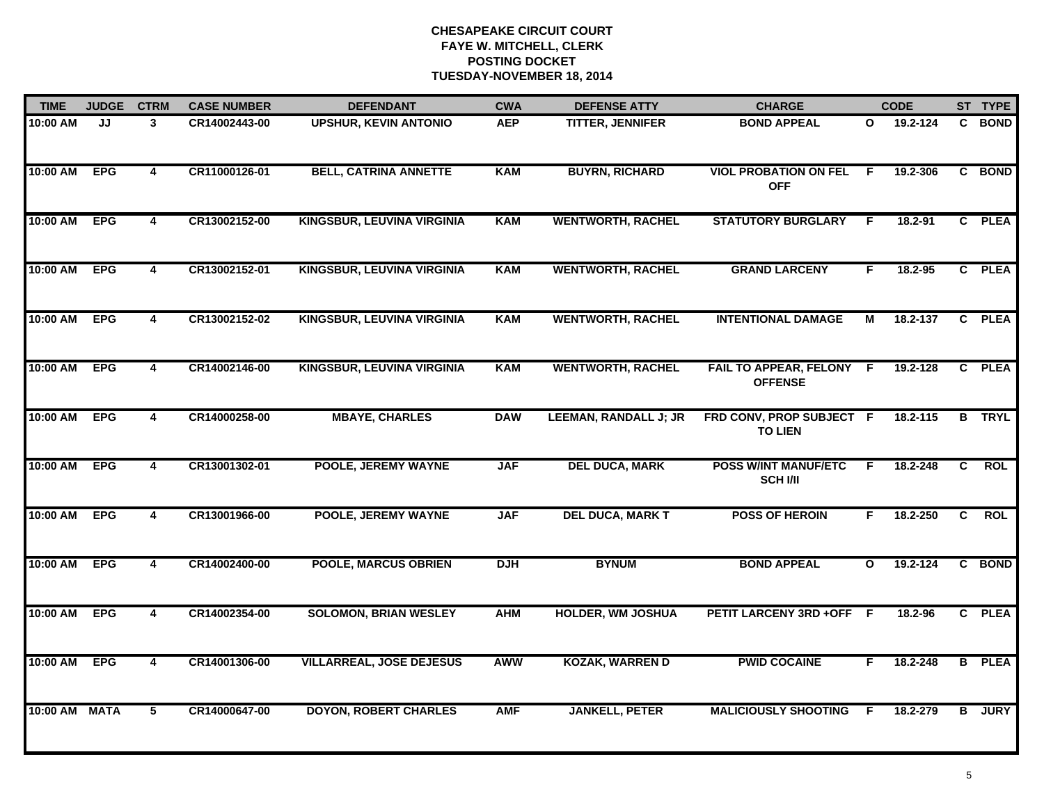| <b>TIME</b>   | <b>JUDGE</b> | <b>CTRM</b>             | <b>CASE NUMBER</b> | <b>DEFENDANT</b>                  | <b>CWA</b> | <b>DEFENSE ATTY</b>          | <b>CHARGE</b>                                  |              | <b>CODE</b> |                | ST TYPE       |
|---------------|--------------|-------------------------|--------------------|-----------------------------------|------------|------------------------------|------------------------------------------------|--------------|-------------|----------------|---------------|
| 10:00 AM      | JJ           | 3                       | CR14002443-00      | <b>UPSHUR, KEVIN ANTONIO</b>      | <b>AEP</b> | <b>TITTER, JENNIFER</b>      | <b>BOND APPEAL</b>                             | O            | 19.2-124    |                | C BOND        |
| 10:00 AM      | <b>EPG</b>   | $\overline{\mathbf{4}}$ | CR11000126-01      | <b>BELL, CATRINA ANNETTE</b>      | <b>KAM</b> | <b>BUYRN, RICHARD</b>        | <b>VIOL PROBATION ON FEL</b><br><b>OFF</b>     | F.           | 19.2-306    |                | C BOND        |
| 10:00 AM      | <b>EPG</b>   | $\overline{\mathbf{4}}$ | CR13002152-00      | <b>KINGSBUR, LEUVINA VIRGINIA</b> | <b>KAM</b> | <b>WENTWORTH, RACHEL</b>     | <b>STATUTORY BURGLARY</b>                      | F            | 18.2-91     |                | C PLEA        |
| 10:00 AM      | <b>EPG</b>   | $\overline{\mathbf{4}}$ | CR13002152-01      | <b>KINGSBUR, LEUVINA VIRGINIA</b> | <b>KAM</b> | <b>WENTWORTH, RACHEL</b>     | <b>GRAND LARCENY</b>                           | F.           | $18.2 - 95$ |                | C PLEA        |
| 10:00 AM      | <b>EPG</b>   | 4                       | CR13002152-02      | <b>KINGSBUR, LEUVINA VIRGINIA</b> | <b>KAM</b> | <b>WENTWORTH, RACHEL</b>     | <b>INTENTIONAL DAMAGE</b>                      | М            | 18.2-137    |                | C PLEA        |
| 10:00 AM EPG  |              | 4                       | CR14002146-00      | KINGSBUR, LEUVINA VIRGINIA        | <b>KAM</b> | <b>WENTWORTH, RACHEL</b>     | FAIL TO APPEAR, FELONY F<br><b>OFFENSE</b>     |              | 19.2-128    |                | C PLEA        |
| 10:00 AM      | <b>EPG</b>   | $\overline{4}$          | CR14000258-00      | <b>MBAYE, CHARLES</b>             | <b>DAW</b> | <b>LEEMAN, RANDALL J; JR</b> | FRD CONV, PROP SUBJECT F<br><b>TO LIEN</b>     |              | 18.2-115    | $\overline{B}$ | <b>TRYL</b>   |
| 10:00 AM      | <b>EPG</b>   | $\overline{4}$          | CR13001302-01      | POOLE, JEREMY WAYNE               | <b>JAF</b> | <b>DEL DUCA, MARK</b>        | <b>POSS W/INT MANUF/ETC</b><br><b>SCH I/II</b> | F            | 18.2-248    | C              | <b>ROL</b>    |
| 10:00 AM      | <b>EPG</b>   | 4                       | CR13001966-00      | <b>POOLE, JEREMY WAYNE</b>        | <b>JAF</b> | <b>DEL DUCA, MARK T</b>      | <b>POSS OF HEROIN</b>                          | F            | 18.2-250    | C              | <b>ROL</b>    |
| 10:00 AM      | <b>EPG</b>   | 4                       | CR14002400-00      | <b>POOLE, MARCUS OBRIEN</b>       | <b>DJH</b> | <b>BYNUM</b>                 | <b>BOND APPEAL</b>                             | $\mathbf{o}$ | 19.2-124    |                | C BOND        |
| 10:00 AM      | <b>EPG</b>   | 4                       | CR14002354-00      | <b>SOLOMON, BRIAN WESLEY</b>      | <b>AHM</b> | <b>HOLDER, WM JOSHUA</b>     | PETIT LARCENY 3RD +OFF F                       |              | 18.2-96     |                | C PLEA        |
| 10:00 AM      | <b>EPG</b>   | $\overline{\mathbf{4}}$ | CR14001306-00      | <b>VILLARREAL, JOSE DEJESUS</b>   | <b>AWW</b> | <b>KOZAK, WARREN D</b>       | <b>PWID COCAINE</b>                            | F.           | 18.2-248    |                | <b>B</b> PLEA |
| 10:00 AM MATA |              | 5                       | CR14000647-00      | <b>DOYON, ROBERT CHARLES</b>      | <b>AMF</b> | <b>JANKELL, PETER</b>        | <b>MALICIOUSLY SHOOTING</b>                    | F.           | 18.2-279    |                | <b>B</b> JURY |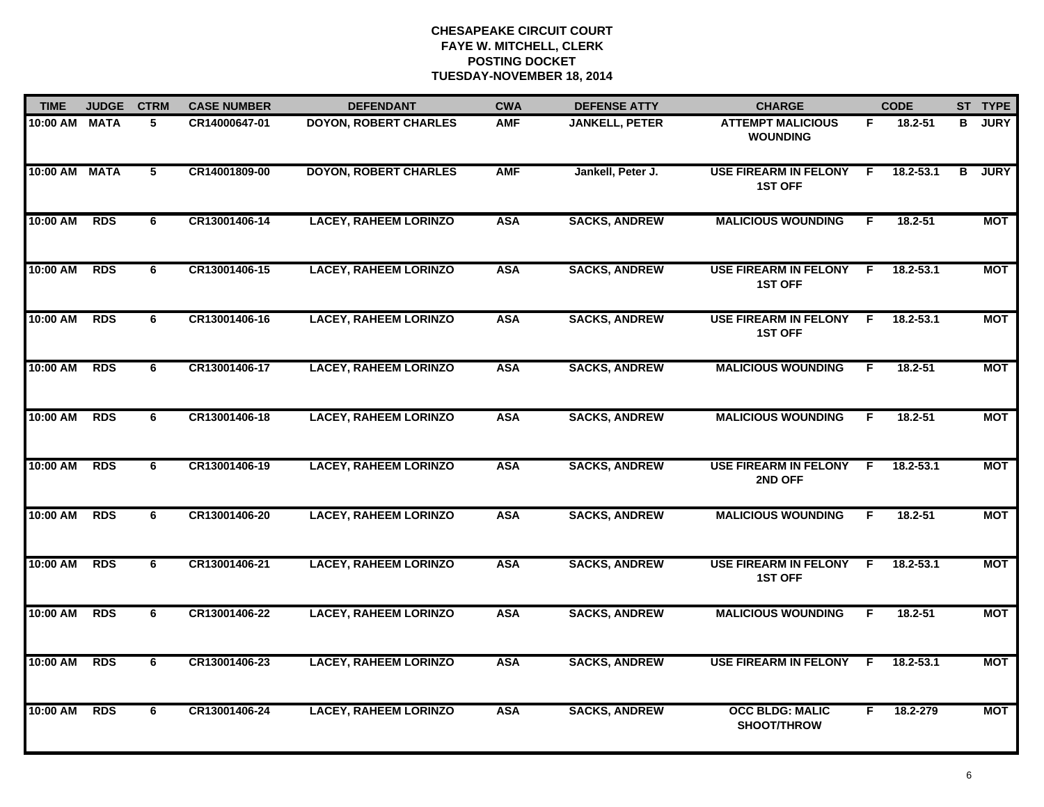| <b>TIME</b>   | <b>JUDGE</b> | <b>CTRM</b> | <b>CASE NUMBER</b> | <b>DEFENDANT</b>             | <b>CWA</b> | <b>DEFENSE ATTY</b>   | <b>CHARGE</b>                                  |     | <b>CODE</b>   |   | ST TYPE     |
|---------------|--------------|-------------|--------------------|------------------------------|------------|-----------------------|------------------------------------------------|-----|---------------|---|-------------|
| 10:00 AM MATA |              | 5           | CR14000647-01      | <b>DOYON, ROBERT CHARLES</b> | <b>AMF</b> | <b>JANKELL, PETER</b> | <b>ATTEMPT MALICIOUS</b><br><b>WOUNDING</b>    | F.  | 18.2-51       | В | <b>JURY</b> |
| 10:00 AM MATA |              | 5           | CR14001809-00      | <b>DOYON, ROBERT CHARLES</b> | <b>AMF</b> | Jankell, Peter J.     | <b>USE FIREARM IN FELONY</b><br><b>1ST OFF</b> | F.  | $18.2 - 53.1$ | в | <b>JURY</b> |
| 10:00 AM      | <b>RDS</b>   | 6           | CR13001406-14      | <b>LACEY, RAHEEM LORINZO</b> | <b>ASA</b> | <b>SACKS, ANDREW</b>  | <b>MALICIOUS WOUNDING</b>                      | F   | $18.2 - 51$   |   | <b>MOT</b>  |
| 10:00 AM      | <b>RDS</b>   | 6           | CR13001406-15      | <b>LACEY, RAHEEM LORINZO</b> | <b>ASA</b> | <b>SACKS, ANDREW</b>  | <b>USE FIREARM IN FELONY</b><br><b>1ST OFF</b> | F.  | 18.2-53.1     |   | <b>MOT</b>  |
| 10:00 AM      | <b>RDS</b>   | 6           | CR13001406-16      | <b>LACEY, RAHEEM LORINZO</b> | <b>ASA</b> | <b>SACKS, ANDREW</b>  | <b>USE FIREARM IN FELONY</b><br><b>1ST OFF</b> | F.  | 18.2-53.1     |   | <b>MOT</b>  |
| 10:00 AM      | <b>RDS</b>   | 6           | CR13001406-17      | <b>LACEY, RAHEEM LORINZO</b> | <b>ASA</b> | <b>SACKS, ANDREW</b>  | <b>MALICIOUS WOUNDING</b>                      | F.  | 18.2-51       |   | <b>MOT</b>  |
| 10:00 AM      | <b>RDS</b>   | 6           | CR13001406-18      | <b>LACEY, RAHEEM LORINZO</b> | <b>ASA</b> | <b>SACKS, ANDREW</b>  | <b>MALICIOUS WOUNDING</b>                      | F.  | $18.2 - 51$   |   | <b>MOT</b>  |
| 10:00 AM      | <b>RDS</b>   | 6           | CR13001406-19      | <b>LACEY, RAHEEM LORINZO</b> | <b>ASA</b> | <b>SACKS, ANDREW</b>  | <b>USE FIREARM IN FELONY</b><br>2ND OFF        | F.  | $18.2 - 53.1$ |   | <b>MOT</b>  |
| 10:00 AM      | <b>RDS</b>   | 6           | CR13001406-20      | <b>LACEY, RAHEEM LORINZO</b> | <b>ASA</b> | <b>SACKS, ANDREW</b>  | <b>MALICIOUS WOUNDING</b>                      | F.  | 18.2-51       |   | <b>MOT</b>  |
| 10:00 AM      | <b>RDS</b>   | 6           | CR13001406-21      | <b>LACEY, RAHEEM LORINZO</b> | <b>ASA</b> | <b>SACKS, ANDREW</b>  | <b>USE FIREARM IN FELONY</b><br><b>1ST OFF</b> | F.  | 18.2-53.1     |   | <b>MOT</b>  |
| 10:00 AM      | <b>RDS</b>   | 6           | CR13001406-22      | <b>LACEY, RAHEEM LORINZO</b> | <b>ASA</b> | <b>SACKS, ANDREW</b>  | <b>MALICIOUS WOUNDING</b>                      | F.  | $18.2 - 51$   |   | <b>MOT</b>  |
| 10:00 AM      | <b>RDS</b>   | 6           | CR13001406-23      | <b>LACEY, RAHEEM LORINZO</b> | <b>ASA</b> | <b>SACKS, ANDREW</b>  | <b>USE FIREARM IN FELONY</b>                   | -F. | $18.2 - 53.1$ |   | <b>MOT</b>  |
| 10:00 AM      | <b>RDS</b>   | 6           | CR13001406-24      | <b>LACEY, RAHEEM LORINZO</b> | <b>ASA</b> | <b>SACKS, ANDREW</b>  | <b>OCC BLDG: MALIC</b><br><b>SHOOT/THROW</b>   | F.  | 18.2-279      |   | <b>MOT</b>  |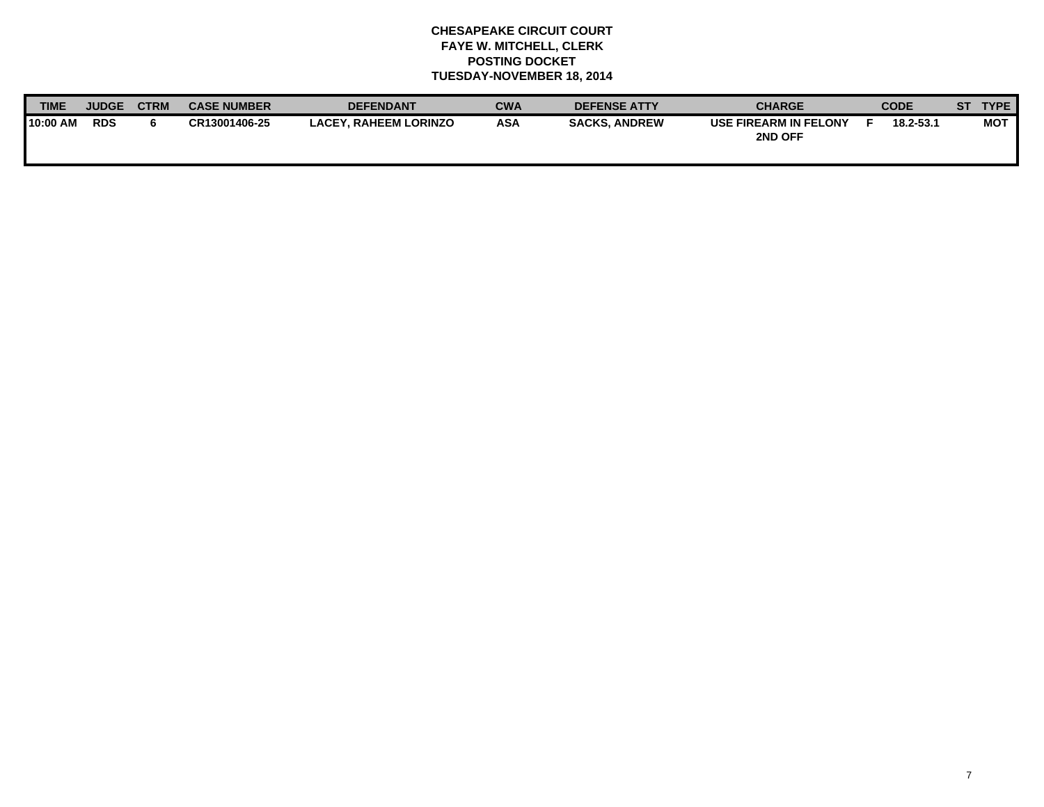| <b>TIME</b> | <b>JUDGE</b> | <b>CTR<sub>N</sub></b> | <b>CASE NUMBER</b> | <b>DEFENDANT</b>             | <b>CWA</b> | <b>DEFENSE ATTY</b>  | <b>CHARGE</b>                    | <b>CODE</b> | SТ | <b>TYPE</b> |
|-------------|--------------|------------------------|--------------------|------------------------------|------------|----------------------|----------------------------------|-------------|----|-------------|
| 10:00 AM    | <b>RDS</b>   |                        | CR13001406-25      | <b>LACEY. RAHEEM LORINZO</b> | <b>ASA</b> | <b>SACKS, ANDREW</b> | USE FIREARM IN FELONY<br>2ND OFF | 18.2-53.1   |    | <b>MOT</b>  |